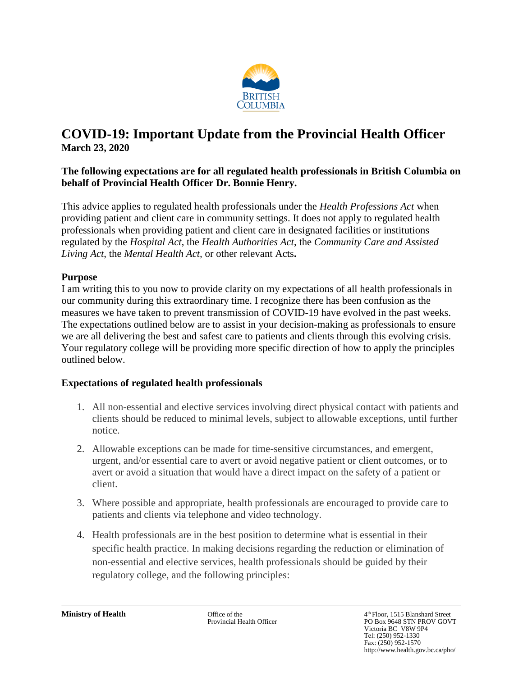

## **COVID-19: Important Update from the Provincial Health Officer March 23, 2020**

## **The following expectations are for all regulated health professionals in British Columbia on behalf of Provincial Health Officer Dr. Bonnie Henry.**

This advice applies to regulated health professionals under the *Health Professions Act* when providing patient and client care in community settings. It does not apply to regulated health professionals when providing patient and client care in designated facilities or institutions regulated by the *Hospital Act*, the *Health Authorities Act*, the *Community Care and Assisted Living Act*, the *Mental Health Act,* or other relevant Acts**.**

## **Purpose**

I am writing this to you now to provide clarity on my expectations of all health professionals in our community during this extraordinary time. I recognize there has been confusion as the measures we have taken to prevent transmission of COVID-19 have evolved in the past weeks. The expectations outlined below are to assist in your decision-making as professionals to ensure we are all delivering the best and safest care to patients and clients through this evolving crisis. Your regulatory college will be providing more specific direction of how to apply the principles outlined below.

## **Expectations of regulated health professionals**

- 1. All non-essential and elective services involving direct physical contact with patients and clients should be reduced to minimal levels, subject to allowable exceptions, until further notice.
- 2. Allowable exceptions can be made for time-sensitive circumstances, and emergent, urgent, and/or essential care to avert or avoid negative patient or client outcomes, or to avert or avoid a situation that would have a direct impact on the safety of a patient or client.
- 3. Where possible and appropriate, health professionals are encouraged to provide care to patients and clients via telephone and video technology.
- 4. Health professionals are in the best position to determine what is essential in their specific health practice. In making decisions regarding the reduction or elimination of non-essential and elective services, health professionals should be guided by their regulatory college, and the following principles:

**Ministry of Health** Office of the 4 Office of the 4 Officer of the 4 Officer of the 4 Officer